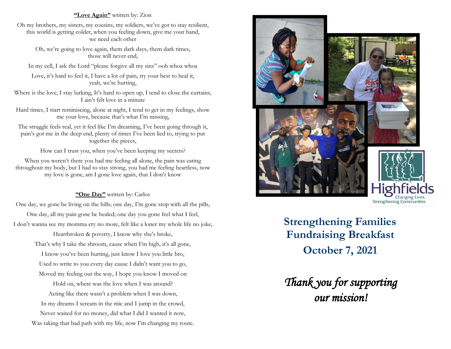### **"Love Again"** written by: Zion

Oh my brothers, my sisters, my cousins, my soldiers, we've got to stay resilient, this world is getting colder, when you feeling down, give me your hand, we need each other

Oh, we're going to love again, them dark days, them dark times, those will never end,

In my cell, I ask the Lord "please forgive all my sins" ooh whoa whoa

Love, it's hard to feel it, I have a lot of pain, try your best to heal it, yeah, we're hurting,

Where is the love, I stay lurking, It's hard to open up, I tend to close the curtains, I ain't felt love in a minute

Hard times, I start reminiscing, alone at night, I tend to get in my feelings, show me your love, because that's what I'm missing,

The struggle feels real, yet it feel like I'm dreaming, I've been going through it, pain's got me in the deep end, plenty of times I've been lied to, trying to put together the pieces,

How can I trust you, when you've been keeping my secrets?

When you weren't there you had me feeling all alone, the pain was eating throughout my body, but I had to stay strong, you had me feeling heartless, now my love is gone, am I gone love again, that I don't know

### **"One Day"** written by: Carlos

One day, we gone be living on the hills; one day, I'm gone stop with all the pills, One day, all my pain gone be healed; one day you gone feel what I feel, I don't wanna see my momma cry no more, felt like a loner my whole life no joke,

> Heartbroken & poverty, I know why she's broke, That's why I take the shroom, cause when I'm high, it's all gone, I know you've been hurting, just know I love you little bro, Used to write to you every day cause I didn't want you to go, Moved my feeling out the way, I hope you know I moved on

Hold on, where was the love when I was around? Acting like there wasn't a problem when I was down, In my dreams I scream in the mic and I jump in the crowd, Never waited for no money, did what I did I wanted it now, Was taking that bad path with my life, now I'm changing my route.



**Strengthening Communities** 

**Strengthening Families Fundraising Breakfast October 7, 2021**

*Thank you for supporting our mission!*